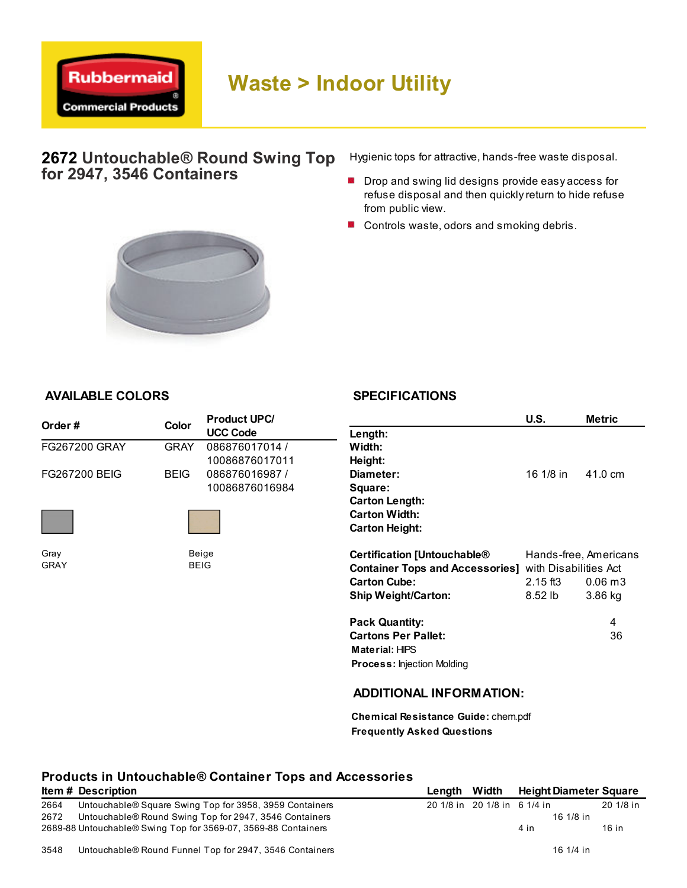

## 2672 Untouchable® Round Swing Top for 2947, 3546 Containers

Hygienic tops for attractive, hands-free waste disposal.

- Drop and swing lid designs provide easy access for refuse disposal and then quickly return to hide refuse from public view.
- Controls waste, odors and smoking debris.



## AVAILABLE COLORS

## **SPECIFICATIONS**

| Order#               | <b>Color</b> | <b>Product UPC/</b> |                                        | U.S.                  | Metric                |
|----------------------|--------------|---------------------|----------------------------------------|-----------------------|-----------------------|
|                      |              | <b>UCC Code</b>     | Length:                                |                       |                       |
| <b>FG267200 GRAY</b> | <b>GRAY</b>  | 086876017014 /      | Width:                                 |                       |                       |
|                      |              | 10086876017011      | Height:                                |                       |                       |
| <b>FG267200 BEIG</b> | <b>BEIG</b>  | 086876016987 /      | Diameter:                              | 16 1/8 in             | 41.0 cm               |
|                      |              | 10086876016984      | Square:                                |                       |                       |
|                      |              |                     | <b>Carton Length:</b>                  |                       |                       |
|                      |              |                     | <b>Carton Width:</b>                   |                       |                       |
|                      |              |                     | <b>Carton Height:</b>                  |                       |                       |
| Gray                 |              | Beige               | <b>Certification [Untouchable®</b>     |                       | Hands-free, Americans |
| <b>GRAY</b>          | <b>BEIG</b>  |                     | <b>Container Tops and Accessories]</b> | with Disabilities Act |                       |
|                      |              |                     | <b>Carton Cube:</b>                    | $2.15$ ft $3$         | 0.06 <sub>m3</sub>    |
|                      |              |                     | <b>Ship Weight/Carton:</b>             | 8.52 lb               | 3.86 kg               |
|                      |              |                     | <b>Pack Quantity:</b>                  |                       | 4                     |
|                      |              |                     | <b>Cartons Per Pallet:</b>             |                       | 36                    |
|                      |              |                     | Material: HIPS                         |                       |                       |
|                      |              |                     | <b>Process: Injection Molding</b>      |                       |                       |
|                      |              |                     | <b>ADDITIONAL INFORMATION:</b>         |                       |                       |

Chemical Resistance Guide: chem.pdf Frequently Asked Questions

## Products in Untouchable® Container Tops and Accessories

|      | <b>Item # Description</b>                                      | Lenath |                              | Width Height Diameter Square |           |
|------|----------------------------------------------------------------|--------|------------------------------|------------------------------|-----------|
| 2664 | Untouchable® Square Swing Top for 3958, 3959 Containers        |        | 20 1/8 in 20 1/8 in 6 1/4 in |                              | 20 1/8 in |
| 2672 | Untouchable® Round Swing Top for 2947, 3546 Containers         |        |                              | 16 $1/8$ in                  |           |
|      | 2689-88 Untouchable® Swing Top for 3569-07, 3569-88 Containers |        |                              | 4 in                         | 16 in     |
| 3548 | Untouchable® Round Funnel Top for 2947, 3546 Containers        |        |                              | 16 1/4 in                    |           |